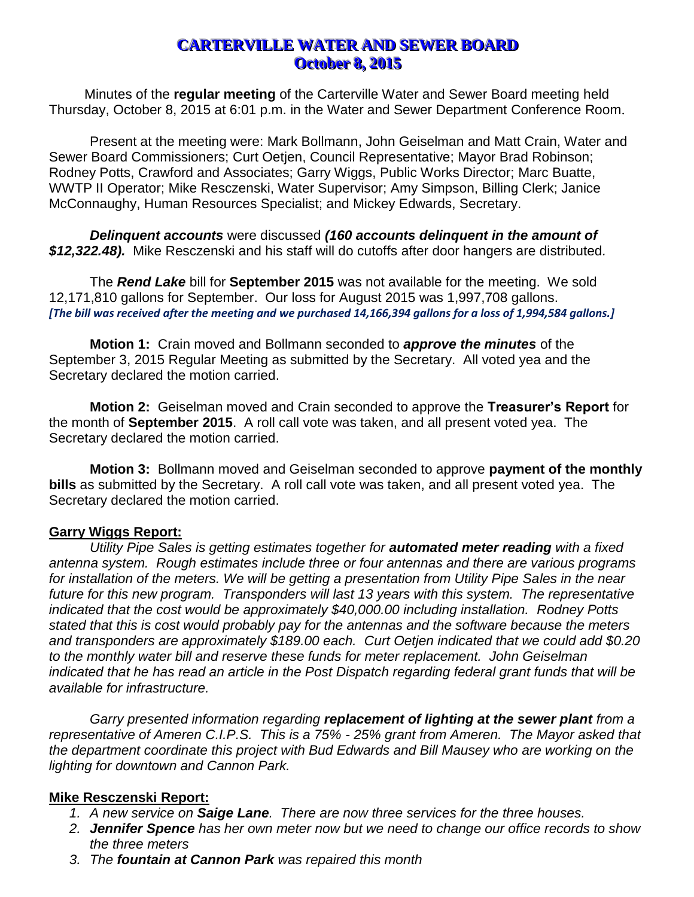# **CARTERVILLE WATER AND SEWER BOARD October 8, 2015**

Minutes of the **regular meeting** of the Carterville Water and Sewer Board meeting held Thursday, October 8, 2015 at 6:01 p.m. in the Water and Sewer Department Conference Room.

Present at the meeting were: Mark Bollmann, John Geiselman and Matt Crain, Water and Sewer Board Commissioners; Curt Oetjen, Council Representative; Mayor Brad Robinson; Rodney Potts, Crawford and Associates; Garry Wiggs, Public Works Director; Marc Buatte, WWTP II Operator; Mike Resczenski, Water Supervisor; Amy Simpson, Billing Clerk; Janice McConnaughy, Human Resources Specialist; and Mickey Edwards, Secretary.

*Delinquent accounts* were discussed *(160 accounts delinquent in the amount of \$12,322.48).* Mike Resczenski and his staff will do cutoffs after door hangers are distributed*.*

The *Rend Lake* bill for **September 2015** was not available for the meeting. We sold 12,171,810 gallons for September. Our loss for August 2015 was 1,997,708 gallons. *[The bill was received after the meeting and we purchased 14,166,394 gallons for a loss of 1,994,584 gallons.]*

**Motion 1:** Crain moved and Bollmann seconded to *approve the minutes* of the September 3, 2015 Regular Meeting as submitted by the Secretary. All voted yea and the Secretary declared the motion carried.

**Motion 2:** Geiselman moved and Crain seconded to approve the **Treasurer's Report** for the month of **September 2015**. A roll call vote was taken, and all present voted yea. The Secretary declared the motion carried.

**Motion 3:** Bollmann moved and Geiselman seconded to approve **payment of the monthly bills** as submitted by the Secretary. A roll call vote was taken, and all present voted yea. The Secretary declared the motion carried.

#### **Garry Wiggs Report:**

*Utility Pipe Sales is getting estimates together for automated meter reading with a fixed antenna system. Rough estimates include three or four antennas and there are various programs for installation of the meters. We will be getting a presentation from Utility Pipe Sales in the near future for this new program. Transponders will last 13 years with this system. The representative indicated that the cost would be approximately \$40,000.00 including installation. Rodney Potts stated that this is cost would probably pay for the antennas and the software because the meters and transponders are approximately \$189.00 each. Curt Oetjen indicated that we could add \$0.20 to the monthly water bill and reserve these funds for meter replacement. John Geiselman indicated that he has read an article in the Post Dispatch regarding federal grant funds that will be available for infrastructure.*

*Garry presented information regarding replacement of lighting at the sewer plant from a representative of Ameren C.I.P.S. This is a 75% - 25% grant from Ameren. The Mayor asked that the department coordinate this project with Bud Edwards and Bill Mausey who are working on the lighting for downtown and Cannon Park.*

#### **Mike Resczenski Report:**

- *1. A new service on Saige Lane. There are now three services for the three houses.*
- *2. Jennifer Spence has her own meter now but we need to change our office records to show the three meters*
- *3. The fountain at Cannon Park was repaired this month*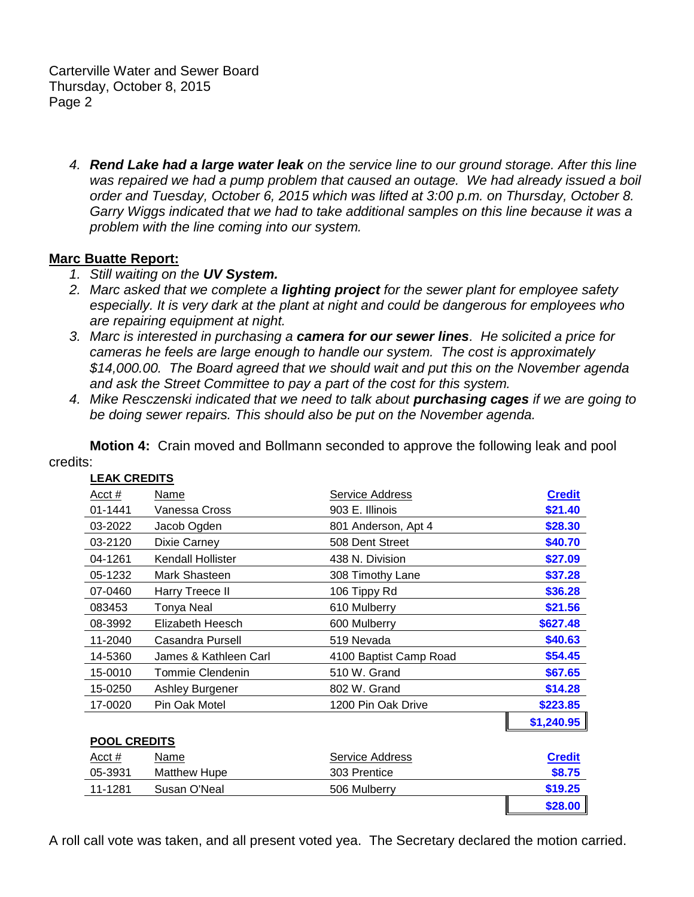Carterville Water and Sewer Board Thursday, October 8, 2015 Page 2

*4. Rend Lake had a large water leak on the service line to our ground storage. After this line was repaired we had a pump problem that caused an outage. We had already issued a boil order and Tuesday, October 6, 2015 which was lifted at 3:00 p.m. on Thursday, October 8. Garry Wiggs indicated that we had to take additional samples on this line because it was a problem with the line coming into our system.*

#### **Marc Buatte Report:**

- *1. Still waiting on the UV System.*
- *2. Marc asked that we complete a lighting project for the sewer plant for employee safety especially. It is very dark at the plant at night and could be dangerous for employees who are repairing equipment at night.*
- *3. Marc is interested in purchasing a camera for our sewer lines. He solicited a price for cameras he feels are large enough to handle our system. The cost is approximately \$14,000.00. The Board agreed that we should wait and put this on the November agenda and ask the Street Committee to pay a part of the cost for this system.*
- *4. Mike Resczenski indicated that we need to talk about purchasing cages if we are going to be doing sewer repairs. This should also be put on the November agenda.*

**Motion 4:** Crain moved and Bollmann seconded to approve the following leak and pool credits:

| <u>Acct #</u>       | <u>Name</u>           | <b>Service Address</b> | <b>Credit</b> |
|---------------------|-----------------------|------------------------|---------------|
| 01-1441             | Vanessa Cross         | 903 E. Illinois        | \$21.40       |
| 03-2022             | Jacob Ogden           | 801 Anderson, Apt 4    | \$28.30       |
| 03-2120             | Dixie Carney          | 508 Dent Street        | \$40.70       |
| 04-1261             | Kendall Hollister     | 438 N. Division        | \$27.09       |
| 05-1232             | Mark Shasteen         | 308 Timothy Lane       | \$37.28       |
| 07-0460             | Harry Treece II       | 106 Tippy Rd           | \$36.28       |
| 083453              | <b>Tonya Neal</b>     | 610 Mulberry           | \$21.56       |
| 08-3992             | Elizabeth Heesch      | 600 Mulberry           | \$627.48      |
| 11-2040             | Casandra Pursell      | 519 Nevada             | \$40.63       |
| 14-5360             | James & Kathleen Carl | 4100 Baptist Camp Road | \$54.45       |
| 15-0010             | Tommie Clendenin      | 510 W. Grand           | \$67.65       |
| 15-0250             | Ashley Burgener       | 802 W. Grand           | \$14.28       |
| 17-0020             | Pin Oak Motel         | 1200 Pin Oak Drive     | \$223.85      |
|                     |                       |                        | \$1,240.95    |
| <b>POOL CREDITS</b> |                       |                        |               |
| Acct #              | Name                  | Service Address        | <b>Credit</b> |
| 05-3931             | <b>Matthew Hupe</b>   | 303 Prentice           | \$8.75        |
| 11-1281             | Susan O'Neal          | 506 Mulberry           | \$19.25       |
|                     |                       |                        |               |

## **LEAK CREDITS**

A roll call vote was taken, and all present voted yea. The Secretary declared the motion carried.

**\$28.00**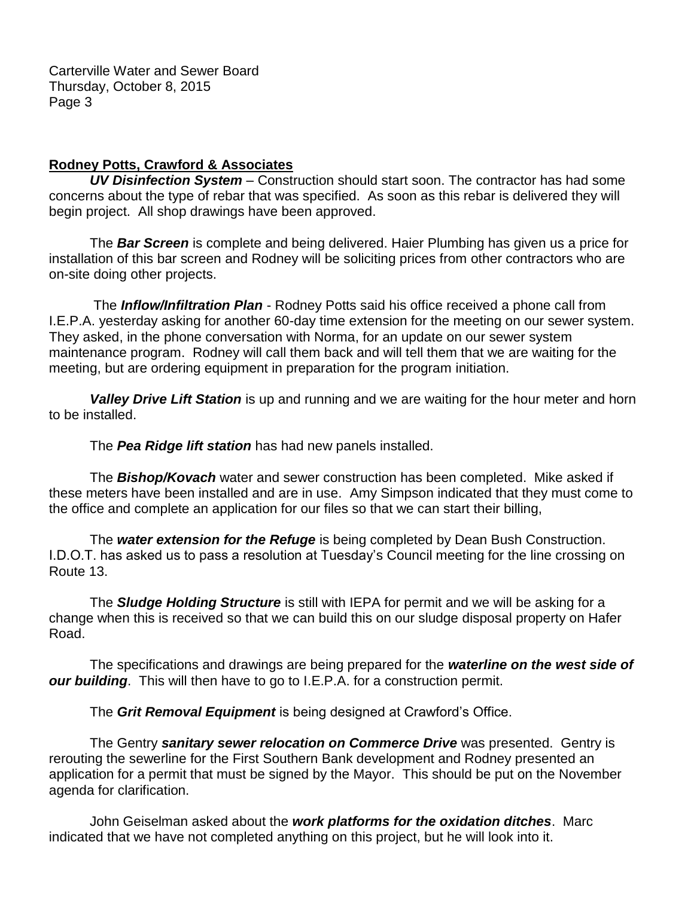### **Rodney Potts, Crawford & Associates**

*UV Disinfection System* – Construction should start soon. The contractor has had some concerns about the type of rebar that was specified. As soon as this rebar is delivered they will begin project. All shop drawings have been approved.

The *Bar Screen* is complete and being delivered. Haier Plumbing has given us a price for installation of this bar screen and Rodney will be soliciting prices from other contractors who are on-site doing other projects.

The *Inflow/Infiltration Plan* - Rodney Potts said his office received a phone call from I.E.P.A. yesterday asking for another 60-day time extension for the meeting on our sewer system. They asked, in the phone conversation with Norma, for an update on our sewer system maintenance program. Rodney will call them back and will tell them that we are waiting for the meeting, but are ordering equipment in preparation for the program initiation.

*Valley Drive Lift Station* is up and running and we are waiting for the hour meter and horn to be installed.

The *Pea Ridge lift station* has had new panels installed.

The *Bishop/Kovach* water and sewer construction has been completed. Mike asked if these meters have been installed and are in use. Amy Simpson indicated that they must come to the office and complete an application for our files so that we can start their billing,

The *water extension for the Refuge* is being completed by Dean Bush Construction. I.D.O.T. has asked us to pass a resolution at Tuesday's Council meeting for the line crossing on Route 13.

The *Sludge Holding Structure* is still with IEPA for permit and we will be asking for a change when this is received so that we can build this on our sludge disposal property on Hafer Road.

The specifications and drawings are being prepared for the *waterline on the west side of our building*. This will then have to go to I.E.P.A. for a construction permit.

The *Grit Removal Equipment* is being designed at Crawford's Office.

The Gentry *sanitary sewer relocation on Commerce Drive* was presented. Gentry is rerouting the sewerline for the First Southern Bank development and Rodney presented an application for a permit that must be signed by the Mayor. This should be put on the November agenda for clarification.

John Geiselman asked about the *work platforms for the oxidation ditches*. Marc indicated that we have not completed anything on this project, but he will look into it.